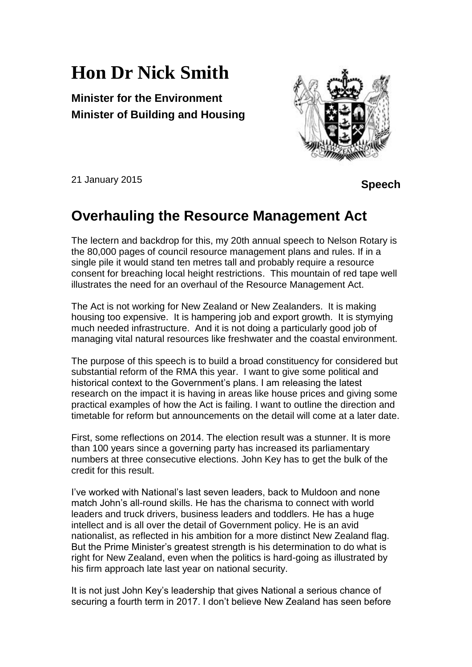## **Hon Dr Nick Smith**

**Minister for the Environment Minister of Building and Housing**



21 January 2015

 **Speech** 

## **Overhauling the Resource Management Act**

The lectern and backdrop for this, my 20th annual speech to Nelson Rotary is the 80,000 pages of council resource management plans and rules. If in a single pile it would stand ten metres tall and probably require a resource consent for breaching local height restrictions. This mountain of red tape well illustrates the need for an overhaul of the Resource Management Act.

The Act is not working for New Zealand or New Zealanders. It is making housing too expensive. It is hampering job and export growth. It is stymying much needed infrastructure. And it is not doing a particularly good job of managing vital natural resources like freshwater and the coastal environment.

The purpose of this speech is to build a broad constituency for considered but substantial reform of the RMA this year. I want to give some political and historical context to the Government's plans. I am releasing the latest research on the impact it is having in areas like house prices and giving some practical examples of how the Act is failing. I want to outline the direction and timetable for reform but announcements on the detail will come at a later date.

First, some reflections on 2014. The election result was a stunner. It is more than 100 years since a governing party has increased its parliamentary numbers at three consecutive elections. John Key has to get the bulk of the credit for this result.

I've worked with National's last seven leaders, back to Muldoon and none match John's all-round skills. He has the charisma to connect with world leaders and truck drivers, business leaders and toddlers. He has a huge intellect and is all over the detail of Government policy. He is an avid nationalist, as reflected in his ambition for a more distinct New Zealand flag. But the Prime Minister's greatest strength is his determination to do what is right for New Zealand, even when the politics is hard-going as illustrated by his firm approach late last year on national security.

It is not just John Key's leadership that gives National a serious chance of securing a fourth term in 2017. I don't believe New Zealand has seen before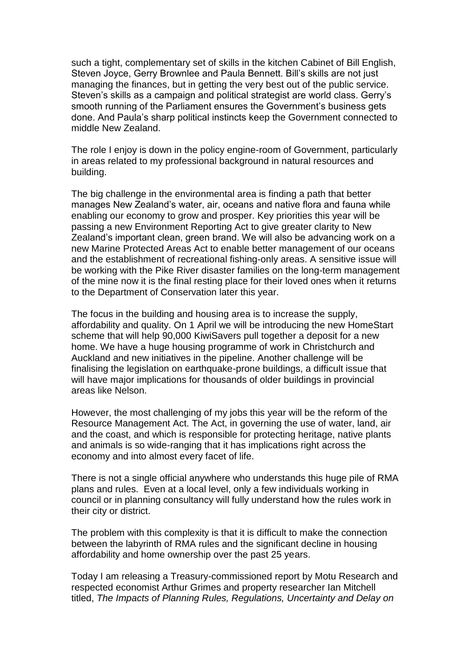such a tight, complementary set of skills in the kitchen Cabinet of Bill English, Steven Joyce, Gerry Brownlee and Paula Bennett. Bill's skills are not just managing the finances, but in getting the very best out of the public service. Steven's skills as a campaign and political strategist are world class. Gerry's smooth running of the Parliament ensures the Government's business gets done. And Paula's sharp political instincts keep the Government connected to middle New Zealand.

The role I enjoy is down in the policy engine-room of Government, particularly in areas related to my professional background in natural resources and building.

The big challenge in the environmental area is finding a path that better manages New Zealand's water, air, oceans and native flora and fauna while enabling our economy to grow and prosper. Key priorities this year will be passing a new Environment Reporting Act to give greater clarity to New Zealand's important clean, green brand. We will also be advancing work on a new Marine Protected Areas Act to enable better management of our oceans and the establishment of recreational fishing-only areas. A sensitive issue will be working with the Pike River disaster families on the long-term management of the mine now it is the final resting place for their loved ones when it returns to the Department of Conservation later this year.

The focus in the building and housing area is to increase the supply, affordability and quality. On 1 April we will be introducing the new HomeStart scheme that will help 90,000 KiwiSavers pull together a deposit for a new home. We have a huge housing programme of work in Christchurch and Auckland and new initiatives in the pipeline. Another challenge will be finalising the legislation on earthquake-prone buildings, a difficult issue that will have major implications for thousands of older buildings in provincial areas like Nelson.

However, the most challenging of my jobs this year will be the reform of the Resource Management Act. The Act, in governing the use of water, land, air and the coast, and which is responsible for protecting heritage, native plants and animals is so wide-ranging that it has implications right across the economy and into almost every facet of life.

There is not a single official anywhere who understands this huge pile of RMA plans and rules. Even at a local level, only a few individuals working in council or in planning consultancy will fully understand how the rules work in their city or district.

The problem with this complexity is that it is difficult to make the connection between the labyrinth of RMA rules and the significant decline in housing affordability and home ownership over the past 25 years.

Today I am releasing a Treasury-commissioned report by Motu Research and respected economist Arthur Grimes and property researcher Ian Mitchell titled, *The Impacts of Planning Rules, Regulations, Uncertainty and Delay on*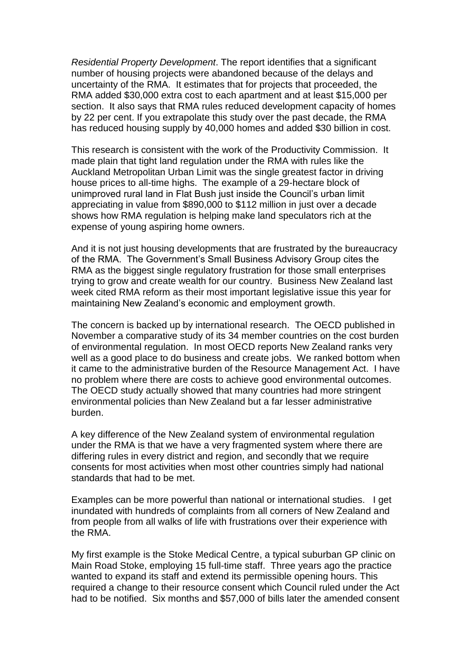*Residential Property Development*. The report identifies that a significant number of housing projects were abandoned because of the delays and uncertainty of the RMA. It estimates that for projects that proceeded, the RMA added \$30,000 extra cost to each apartment and at least \$15,000 per section. It also says that RMA rules reduced development capacity of homes by 22 per cent. If you extrapolate this study over the past decade, the RMA has reduced housing supply by 40,000 homes and added \$30 billion in cost.

This research is consistent with the work of the Productivity Commission. It made plain that tight land regulation under the RMA with rules like the Auckland Metropolitan Urban Limit was the single greatest factor in driving house prices to all-time highs. The example of a 29-hectare block of unimproved rural land in Flat Bush just inside the Council's urban limit appreciating in value from \$890,000 to \$112 million in just over a decade shows how RMA regulation is helping make land speculators rich at the expense of young aspiring home owners.

And it is not just housing developments that are frustrated by the bureaucracy of the RMA. The Government's Small Business Advisory Group cites the RMA as the biggest single regulatory frustration for those small enterprises trying to grow and create wealth for our country. Business New Zealand last week cited RMA reform as their most important legislative issue this year for maintaining New Zealand's economic and employment growth.

The concern is backed up by international research. The OECD published in November a comparative study of its 34 member countries on the cost burden of environmental regulation. In most OECD reports New Zealand ranks very well as a good place to do business and create jobs. We ranked bottom when it came to the administrative burden of the Resource Management Act. I have no problem where there are costs to achieve good environmental outcomes. The OECD study actually showed that many countries had more stringent environmental policies than New Zealand but a far lesser administrative burden.

A key difference of the New Zealand system of environmental regulation under the RMA is that we have a very fragmented system where there are differing rules in every district and region, and secondly that we require consents for most activities when most other countries simply had national standards that had to be met.

Examples can be more powerful than national or international studies. I get inundated with hundreds of complaints from all corners of New Zealand and from people from all walks of life with frustrations over their experience with the RMA.

My first example is the Stoke Medical Centre, a typical suburban GP clinic on Main Road Stoke, employing 15 full-time staff. Three years ago the practice wanted to expand its staff and extend its permissible opening hours. This required a change to their resource consent which Council ruled under the Act had to be notified. Six months and \$57,000 of bills later the amended consent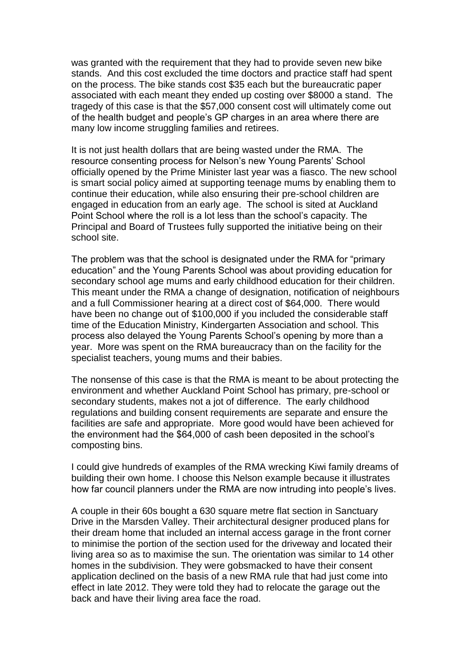was granted with the requirement that they had to provide seven new bike stands. And this cost excluded the time doctors and practice staff had spent on the process. The bike stands cost \$35 each but the bureaucratic paper associated with each meant they ended up costing over \$8000 a stand. The tragedy of this case is that the \$57,000 consent cost will ultimately come out of the health budget and people's GP charges in an area where there are many low income struggling families and retirees.

It is not just health dollars that are being wasted under the RMA. The resource consenting process for Nelson's new Young Parents' School officially opened by the Prime Minister last year was a fiasco. The new school is smart social policy aimed at supporting teenage mums by enabling them to continue their education, while also ensuring their pre-school children are engaged in education from an early age. The school is sited at Auckland Point School where the roll is a lot less than the school's capacity. The Principal and Board of Trustees fully supported the initiative being on their school site.

The problem was that the school is designated under the RMA for "primary education" and the Young Parents School was about providing education for secondary school age mums and early childhood education for their children. This meant under the RMA a change of designation, notification of neighbours and a full Commissioner hearing at a direct cost of \$64,000. There would have been no change out of \$100,000 if you included the considerable staff time of the Education Ministry, Kindergarten Association and school. This process also delayed the Young Parents School's opening by more than a year. More was spent on the RMA bureaucracy than on the facility for the specialist teachers, young mums and their babies.

The nonsense of this case is that the RMA is meant to be about protecting the environment and whether Auckland Point School has primary, pre-school or secondary students, makes not a jot of difference. The early childhood regulations and building consent requirements are separate and ensure the facilities are safe and appropriate. More good would have been achieved for the environment had the \$64,000 of cash been deposited in the school's composting bins.

I could give hundreds of examples of the RMA wrecking Kiwi family dreams of building their own home. I choose this Nelson example because it illustrates how far council planners under the RMA are now intruding into people's lives.

A couple in their 60s bought a 630 square metre flat section in Sanctuary Drive in the Marsden Valley. Their architectural designer produced plans for their dream home that included an internal access garage in the front corner to minimise the portion of the section used for the driveway and located their living area so as to maximise the sun. The orientation was similar to 14 other homes in the subdivision. They were gobsmacked to have their consent application declined on the basis of a new RMA rule that had just come into effect in late 2012. They were told they had to relocate the garage out the back and have their living area face the road.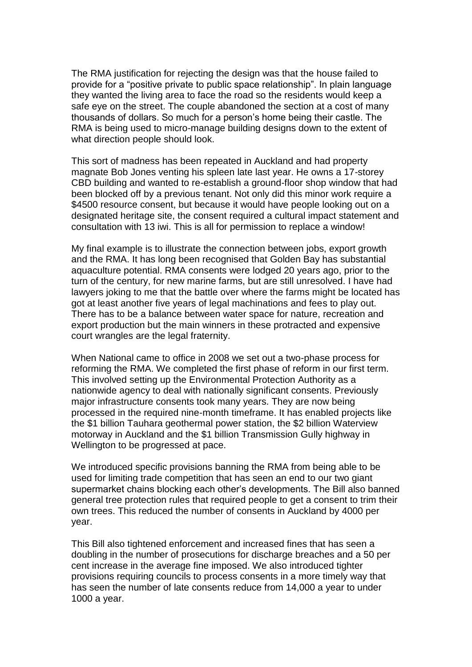The RMA justification for rejecting the design was that the house failed to provide for a "positive private to public space relationship". In plain language they wanted the living area to face the road so the residents would keep a safe eye on the street. The couple abandoned the section at a cost of many thousands of dollars. So much for a person's home being their castle. The RMA is being used to micro-manage building designs down to the extent of what direction people should look.

This sort of madness has been repeated in Auckland and had property magnate Bob Jones venting his spleen late last year. He owns a 17-storey CBD building and wanted to re-establish a ground-floor shop window that had been blocked off by a previous tenant. Not only did this minor work require a \$4500 resource consent, but because it would have people looking out on a designated heritage site, the consent required a cultural impact statement and consultation with 13 iwi. This is all for permission to replace a window!

My final example is to illustrate the connection between jobs, export growth and the RMA. It has long been recognised that Golden Bay has substantial aquaculture potential. RMA consents were lodged 20 years ago, prior to the turn of the century, for new marine farms, but are still unresolved. I have had lawyers joking to me that the battle over where the farms might be located has got at least another five years of legal machinations and fees to play out. There has to be a balance between water space for nature, recreation and export production but the main winners in these protracted and expensive court wrangles are the legal fraternity.

When National came to office in 2008 we set out a two-phase process for reforming the RMA. We completed the first phase of reform in our first term. This involved setting up the Environmental Protection Authority as a nationwide agency to deal with nationally significant consents. Previously major infrastructure consents took many years. They are now being processed in the required nine-month timeframe. It has enabled projects like the \$1 billion Tauhara geothermal power station, the \$2 billion Waterview motorway in Auckland and the \$1 billion Transmission Gully highway in Wellington to be progressed at pace.

We introduced specific provisions banning the RMA from being able to be used for limiting trade competition that has seen an end to our two giant supermarket chains blocking each other's developments. The Bill also banned general tree protection rules that required people to get a consent to trim their own trees. This reduced the number of consents in Auckland by 4000 per year.

This Bill also tightened enforcement and increased fines that has seen a doubling in the number of prosecutions for discharge breaches and a 50 per cent increase in the average fine imposed. We also introduced tighter provisions requiring councils to process consents in a more timely way that has seen the number of late consents reduce from 14,000 a year to under 1000 a year.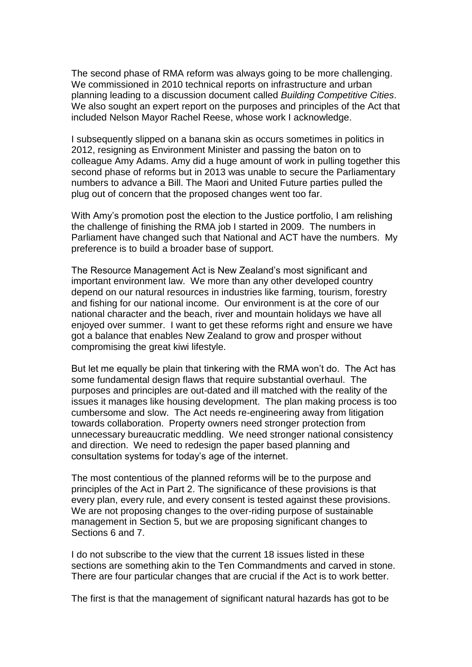The second phase of RMA reform was always going to be more challenging. We commissioned in 2010 technical reports on infrastructure and urban planning leading to a discussion document called *Building Competitive Cities*. We also sought an expert report on the purposes and principles of the Act that included Nelson Mayor Rachel Reese, whose work I acknowledge.

I subsequently slipped on a banana skin as occurs sometimes in politics in 2012, resigning as Environment Minister and passing the baton on to colleague Amy Adams. Amy did a huge amount of work in pulling together this second phase of reforms but in 2013 was unable to secure the Parliamentary numbers to advance a Bill. The Maori and United Future parties pulled the plug out of concern that the proposed changes went too far.

With Amy's promotion post the election to the Justice portfolio, I am relishing the challenge of finishing the RMA job I started in 2009. The numbers in Parliament have changed such that National and ACT have the numbers. My preference is to build a broader base of support.

The Resource Management Act is New Zealand's most significant and important environment law. We more than any other developed country depend on our natural resources in industries like farming, tourism, forestry and fishing for our national income. Our environment is at the core of our national character and the beach, river and mountain holidays we have all enjoyed over summer. I want to get these reforms right and ensure we have got a balance that enables New Zealand to grow and prosper without compromising the great kiwi lifestyle.

But let me equally be plain that tinkering with the RMA won't do. The Act has some fundamental design flaws that require substantial overhaul. The purposes and principles are out-dated and ill matched with the reality of the issues it manages like housing development. The plan making process is too cumbersome and slow. The Act needs re-engineering away from litigation towards collaboration. Property owners need stronger protection from unnecessary bureaucratic meddling. We need stronger national consistency and direction. We need to redesign the paper based planning and consultation systems for today's age of the internet.

The most contentious of the planned reforms will be to the purpose and principles of the Act in Part 2. The significance of these provisions is that every plan, every rule, and every consent is tested against these provisions. We are not proposing changes to the over-riding purpose of sustainable management in Section 5, but we are proposing significant changes to Sections 6 and 7.

I do not subscribe to the view that the current 18 issues listed in these sections are something akin to the Ten Commandments and carved in stone. There are four particular changes that are crucial if the Act is to work better.

The first is that the management of significant natural hazards has got to be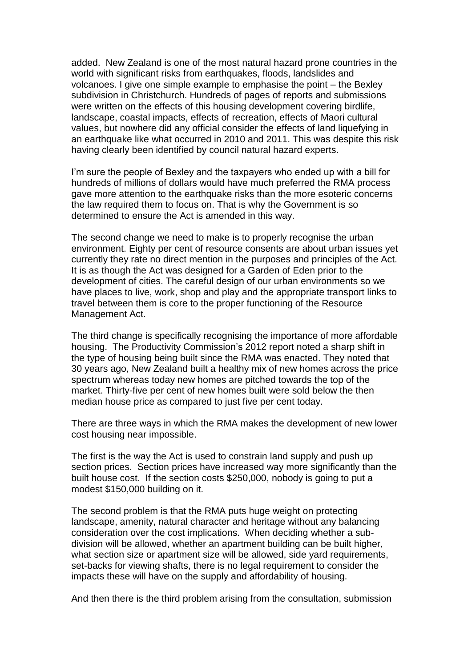added. New Zealand is one of the most natural hazard prone countries in the world with significant risks from earthquakes, floods, landslides and volcanoes. I give one simple example to emphasise the point – the Bexley subdivision in Christchurch. Hundreds of pages of reports and submissions were written on the effects of this housing development covering birdlife, landscape, coastal impacts, effects of recreation, effects of Maori cultural values, but nowhere did any official consider the effects of land liquefying in an earthquake like what occurred in 2010 and 2011. This was despite this risk having clearly been identified by council natural hazard experts.

I'm sure the people of Bexley and the taxpayers who ended up with a bill for hundreds of millions of dollars would have much preferred the RMA process gave more attention to the earthquake risks than the more esoteric concerns the law required them to focus on. That is why the Government is so determined to ensure the Act is amended in this way.

The second change we need to make is to properly recognise the urban environment. Eighty per cent of resource consents are about urban issues yet currently they rate no direct mention in the purposes and principles of the Act. It is as though the Act was designed for a Garden of Eden prior to the development of cities. The careful design of our urban environments so we have places to live, work, shop and play and the appropriate transport links to travel between them is core to the proper functioning of the Resource Management Act.

The third change is specifically recognising the importance of more affordable housing. The Productivity Commission's 2012 report noted a sharp shift in the type of housing being built since the RMA was enacted. They noted that 30 years ago, New Zealand built a healthy mix of new homes across the price spectrum whereas today new homes are pitched towards the top of the market. Thirty-five per cent of new homes built were sold below the then median house price as compared to just five per cent today.

There are three ways in which the RMA makes the development of new lower cost housing near impossible.

The first is the way the Act is used to constrain land supply and push up section prices. Section prices have increased way more significantly than the built house cost. If the section costs \$250,000, nobody is going to put a modest \$150,000 building on it.

The second problem is that the RMA puts huge weight on protecting landscape, amenity, natural character and heritage without any balancing consideration over the cost implications. When deciding whether a subdivision will be allowed, whether an apartment building can be built higher, what section size or apartment size will be allowed, side yard requirements, set-backs for viewing shafts, there is no legal requirement to consider the impacts these will have on the supply and affordability of housing.

And then there is the third problem arising from the consultation, submission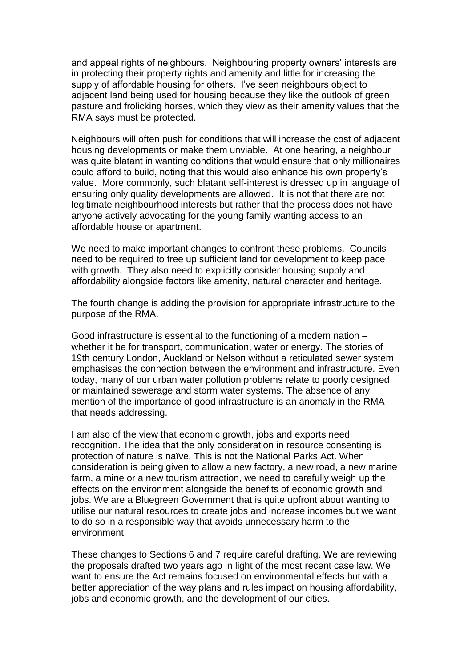and appeal rights of neighbours. Neighbouring property owners' interests are in protecting their property rights and amenity and little for increasing the supply of affordable housing for others. I've seen neighbours object to adjacent land being used for housing because they like the outlook of green pasture and frolicking horses, which they view as their amenity values that the RMA says must be protected.

Neighbours will often push for conditions that will increase the cost of adjacent housing developments or make them unviable. At one hearing, a neighbour was quite blatant in wanting conditions that would ensure that only millionaires could afford to build, noting that this would also enhance his own property's value. More commonly, such blatant self-interest is dressed up in language of ensuring only quality developments are allowed. It is not that there are not legitimate neighbourhood interests but rather that the process does not have anyone actively advocating for the young family wanting access to an affordable house or apartment.

We need to make important changes to confront these problems. Councils need to be required to free up sufficient land for development to keep pace with growth. They also need to explicitly consider housing supply and affordability alongside factors like amenity, natural character and heritage.

The fourth change is adding the provision for appropriate infrastructure to the purpose of the RMA.

Good infrastructure is essential to the functioning of a modern nation – whether it be for transport, communication, water or energy. The stories of 19th century London, Auckland or Nelson without a reticulated sewer system emphasises the connection between the environment and infrastructure. Even today, many of our urban water pollution problems relate to poorly designed or maintained sewerage and storm water systems. The absence of any mention of the importance of good infrastructure is an anomaly in the RMA that needs addressing.

I am also of the view that economic growth, jobs and exports need recognition. The idea that the only consideration in resource consenting is protection of nature is naïve. This is not the National Parks Act. When consideration is being given to allow a new factory, a new road, a new marine farm, a mine or a new tourism attraction, we need to carefully weigh up the effects on the environment alongside the benefits of economic growth and jobs. We are a Bluegreen Government that is quite upfront about wanting to utilise our natural resources to create jobs and increase incomes but we want to do so in a responsible way that avoids unnecessary harm to the environment.

These changes to Sections 6 and 7 require careful drafting. We are reviewing the proposals drafted two years ago in light of the most recent case law. We want to ensure the Act remains focused on environmental effects but with a better appreciation of the way plans and rules impact on housing affordability, jobs and economic growth, and the development of our cities.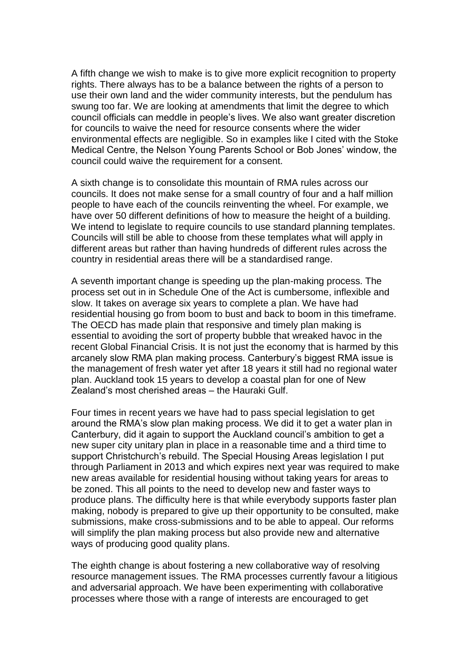A fifth change we wish to make is to give more explicit recognition to property rights. There always has to be a balance between the rights of a person to use their own land and the wider community interests, but the pendulum has swung too far. We are looking at amendments that limit the degree to which council officials can meddle in people's lives. We also want greater discretion for councils to waive the need for resource consents where the wider environmental effects are negligible. So in examples like I cited with the Stoke Medical Centre, the Nelson Young Parents School or Bob Jones' window, the council could waive the requirement for a consent.

A sixth change is to consolidate this mountain of RMA rules across our councils. It does not make sense for a small country of four and a half million people to have each of the councils reinventing the wheel. For example, we have over 50 different definitions of how to measure the height of a building. We intend to legislate to require councils to use standard planning templates. Councils will still be able to choose from these templates what will apply in different areas but rather than having hundreds of different rules across the country in residential areas there will be a standardised range.

A seventh important change is speeding up the plan-making process. The process set out in in Schedule One of the Act is cumbersome, inflexible and slow. It takes on average six years to complete a plan. We have had residential housing go from boom to bust and back to boom in this timeframe. The OECD has made plain that responsive and timely plan making is essential to avoiding the sort of property bubble that wreaked havoc in the recent Global Financial Crisis. It is not just the economy that is harmed by this arcanely slow RMA plan making process. Canterbury's biggest RMA issue is the management of fresh water yet after 18 years it still had no regional water plan. Auckland took 15 years to develop a coastal plan for one of New Zealand's most cherished areas – the Hauraki Gulf.

Four times in recent years we have had to pass special legislation to get around the RMA's slow plan making process. We did it to get a water plan in Canterbury, did it again to support the Auckland council's ambition to get a new super city unitary plan in place in a reasonable time and a third time to support Christchurch's rebuild. The Special Housing Areas legislation I put through Parliament in 2013 and which expires next year was required to make new areas available for residential housing without taking years for areas to be zoned. This all points to the need to develop new and faster ways to produce plans. The difficulty here is that while everybody supports faster plan making, nobody is prepared to give up their opportunity to be consulted, make submissions, make cross-submissions and to be able to appeal. Our reforms will simplify the plan making process but also provide new and alternative ways of producing good quality plans.

The eighth change is about fostering a new collaborative way of resolving resource management issues. The RMA processes currently favour a litigious and adversarial approach. We have been experimenting with collaborative processes where those with a range of interests are encouraged to get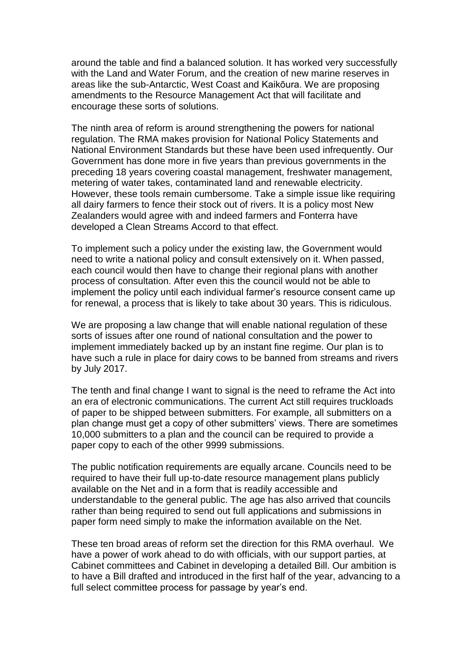around the table and find a balanced solution. It has worked very successfully with the Land and Water Forum, and the creation of new marine reserves in areas like the sub-Antarctic, West Coast and Kaikōura. We are proposing amendments to the Resource Management Act that will facilitate and encourage these sorts of solutions.

The ninth area of reform is around strengthening the powers for national regulation. The RMA makes provision for National Policy Statements and National Environment Standards but these have been used infrequently. Our Government has done more in five years than previous governments in the preceding 18 years covering coastal management, freshwater management, metering of water takes, contaminated land and renewable electricity. However, these tools remain cumbersome. Take a simple issue like requiring all dairy farmers to fence their stock out of rivers. It is a policy most New Zealanders would agree with and indeed farmers and Fonterra have developed a Clean Streams Accord to that effect.

To implement such a policy under the existing law, the Government would need to write a national policy and consult extensively on it. When passed, each council would then have to change their regional plans with another process of consultation. After even this the council would not be able to implement the policy until each individual farmer's resource consent came up for renewal, a process that is likely to take about 30 years. This is ridiculous.

We are proposing a law change that will enable national regulation of these sorts of issues after one round of national consultation and the power to implement immediately backed up by an instant fine regime. Our plan is to have such a rule in place for dairy cows to be banned from streams and rivers by July 2017.

The tenth and final change I want to signal is the need to reframe the Act into an era of electronic communications. The current Act still requires truckloads of paper to be shipped between submitters. For example, all submitters on a plan change must get a copy of other submitters' views. There are sometimes 10,000 submitters to a plan and the council can be required to provide a paper copy to each of the other 9999 submissions.

The public notification requirements are equally arcane. Councils need to be required to have their full up-to-date resource management plans publicly available on the Net and in a form that is readily accessible and understandable to the general public. The age has also arrived that councils rather than being required to send out full applications and submissions in paper form need simply to make the information available on the Net.

These ten broad areas of reform set the direction for this RMA overhaul. We have a power of work ahead to do with officials, with our support parties, at Cabinet committees and Cabinet in developing a detailed Bill. Our ambition is to have a Bill drafted and introduced in the first half of the year, advancing to a full select committee process for passage by year's end.